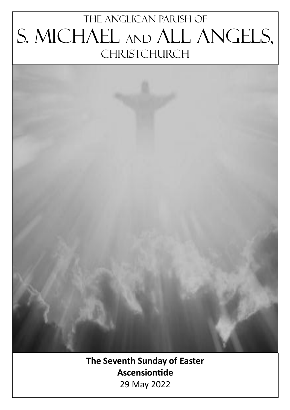# The Anglican parish of S. Michael and All Angels, **CHRISTCHURCH**

**The Seventh Sunday of Easter Ascensiontide** 29 May 2022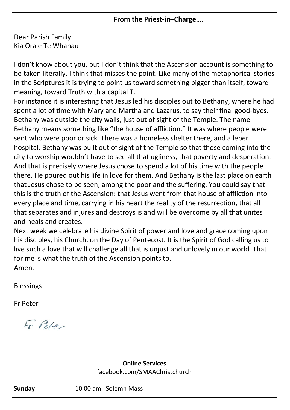# **From the Priest-in–Charge….**

Dear Parish Family Kia Ora e Te Whanau

I don't know about you, but I don't think that the Ascension account is something to be taken literally. I think that misses the point. Like many of the metaphorical stories in the Scriptures it is trying to point us toward something bigger than itself, toward meaning, toward Truth with a capital T.

For instance it is interesting that Jesus led his disciples out to Bethany, where he had spent a lot of time with Mary and Martha and Lazarus, to say their final good-byes. Bethany was outside the city walls, just out of sight of the Temple. The name Bethany means something like "the house of affliction." It was where people were sent who were poor or sick. There was a homeless shelter there, and a leper hospital. Bethany was built out of sight of the Temple so that those coming into the city to worship wouldn't have to see all that ugliness, that poverty and desperation. And that is precisely where Jesus chose to spend a lot of his time with the people there. He poured out his life in love for them. And Bethany is the last place on earth that Jesus chose to be seen, among the poor and the suffering. You could say that this is the truth of the Ascension: that Jesus went from that house of affliction into every place and time, carrying in his heart the reality of the resurrection, that all that separates and injures and destroys is and will be overcome by all that unites and heals and creates.

Next week we celebrate his divine Spirit of power and love and grace coming upon his disciples, his Church, on the Day of Pentecost. It is the Spirit of God calling us to live such a love that will challenge all that is unjust and unlovely in our world. That for me is what the truth of the Ascension points to. Amen.

Blessings

Fr Peter

Fr Peter

**Online Services** facebook.com/SMAAChristchurch

**Sunday** 10.00 am Solemn Mass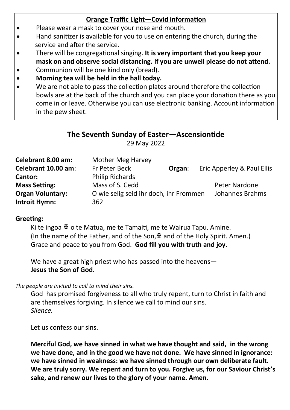# **Orange Traffic Light—Covid information**

- Please wear a mask to cover your nose and mouth.
- Hand sanitizer is available for you to use on entering the church, during the service and after the service.
- There will be congregational singing. **It is very important that you keep your mask on and observe social distancing. If you are unwell please do not attend.**
- Communion will be one kind only (bread).
- **Morning tea will be held in the hall today.**
- We are not able to pass the collection plates around therefore the collection bowls are at the back of the church and you can place your donation there as you come in or leave. Otherwise you can use electronic banking. Account information in the pew sheet.

# **The Seventh Sunday of Easter—Ascensiontide**

29 May 2022

| Celebrant 8.00 am:      | Mother Meg Harvey                      |        |                            |
|-------------------------|----------------------------------------|--------|----------------------------|
| Celebrant 10.00 am:     | Fr Peter Beck                          | Organ: | Eric Apperley & Paul Ellis |
| Cantor:                 | <b>Philip Richards</b>                 |        |                            |
| <b>Mass Setting:</b>    | Mass of S. Cedd                        |        | Peter Nardone              |
| <b>Organ Voluntary:</b> | O wie selig seid ihr doch, ihr Frommen |        | Johannes Brahms            |
| Introit Hymn:           | 362                                    |        |                            |

# **Greeting:**

Ki te ingoa  $\mathfrak{B}$  o te Matua, me te Tamaiti, me te Wairua Tapu. Amine. (In the name of the Father, and of the Son, $\mathbf{\Psi}$  and of the Holy Spirit. Amen.) Grace and peace to you from God. **God fill you with truth and joy.**

We have a great high priest who has passed into the heavens— **Jesus the Son of God.**

*The people are invited to call to mind their sins.*

God has promised forgiveness to all who truly repent, turn to Christ in faith and are themselves forgiving. In silence we call to mind our sins. *Silence.*

Let us confess our sins.

**Merciful God, we have sinned in what we have thought and said, in the wrong we have done, and in the good we have not done. We have sinned in ignorance: we have sinned in weakness: we have sinned through our own deliberate fault. We are truly sorry. We repent and turn to you. Forgive us, for our Saviour Christ's sake, and renew our lives to the glory of your name. Amen.**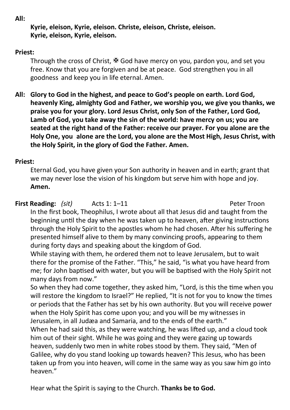**All:** 

**Kyrie, eleison, Kyrie, eleison. Christe, eleison, Christe, eleison. Kyrie, eleison, Kyrie, eleison.** 

# **Priest:**

Through the cross of Christ,  $\mathbb F$  God have mercy on you, pardon you, and set you free. Know that you are forgiven and be at peace. God strengthen you in all goodness and keep you in life eternal. Amen.

**All: Glory to God in the highest, and peace to God's people on earth. Lord God, heavenly King, almighty God and Father, we worship you, we give you thanks, we praise you for your glory. Lord Jesus Christ, only Son of the Father, Lord God, Lamb of God, you take away the sin of the world: have mercy on us; you are seated at the right hand of the Father: receive our prayer. For you alone are the Holy One, you alone are the Lord, you alone are the Most High, Jesus Christ, with the Holy Spirit, in the glory of God the Father. Amen.**

# **Priest:**

Eternal God, you have given your Son authority in heaven and in earth; grant that we may never lose the vision of his kingdom but serve him with hope and joy. **Amen.**

**First Reading:** (sit) Acts 1: 1–11 **Peter Troon** 

In the first book, Theophilus, I wrote about all that Jesus did and taught from the beginning until the day when he was taken up to heaven, after giving instructions through the Holy Spirit to the apostles whom he had chosen. After his suffering he presented himself alive to them by many convincing proofs, appearing to them during forty days and speaking about the kingdom of God.

While staying with them, he ordered them not to leave Jerusalem, but to wait there for the promise of the Father. "This," he said, "is what you have heard from me; for John baptised with water, but you will be baptised with the Holy Spirit not many days from now."

So when they had come together, they asked him, "Lord, is this the time when you will restore the kingdom to Israel?" He replied, "It is not for you to know the times or periods that the Father has set by his own authority. But you will receive power when the Holy Spirit has come upon you; and you will be my witnesses in Jerusalem, in all Judæa and Samaria, and to the ends of the earth."

When he had said this, as they were watching, he was lifted up, and a cloud took him out of their sight. While he was going and they were gazing up towards heaven, suddenly two men in white robes stood by them. They said, "Men of Galilee, why do you stand looking up towards heaven? This Jesus, who has been taken up from you into heaven, will come in the same way as you saw him go into heaven."

Hear what the Spirit is saying to the Church. **Thanks be to God.**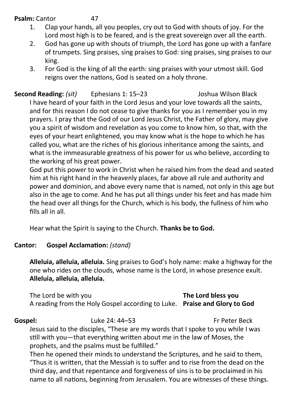**Psalm:** Cantor 47

- 1. Clap your hands, all you peoples, cry out to God with shouts of joy. For the Lord most high is to be feared, and is the great sovereign over all the earth.
- 2. God has gone up with shouts of triumph, the Lord has gone up with a fanfare of trumpets. Sing praises, sing praises to God: sing praises, sing praises to our king.
- 3. For God is the king of all the earth: sing praises with your utmost skill. God reigns over the nations, God is seated on a holy throne.

**Second Reading:** *(sit)* Ephesians 1: 15–23 Joshua Wilson Black I have heard of your faith in the Lord Jesus and your love towards all the saints, and for this reason I do not cease to give thanks for you as I remember you in my prayers. I pray that the God of our Lord Jesus Christ, the Father of glory, may give you a spirit of wisdom and revelation as you come to know him, so that, with the eyes of your heart enlightened, you may know what is the hope to which he has called you, what are the riches of his glorious inheritance among the saints, and what is the immeasurable greatness of his power for us who believe, according to the working of his great power.

God put this power to work in Christ when he raised him from the dead and seated him at his right hand in the heavenly places, far above all rule and authority and power and dominion, and above every name that is named, not only in this age but also in the age to come. And he has put all things under his feet and has made him the head over all things for the Church, which is his body, the fullness of him who fills all in all.

Hear what the Spirit is saying to the Church. **Thanks be to God.**

# **Cantor: Gospel Acclamation:** *(stand)*

**Alleluia, alleluia, alleluia.** Sing praises to God's holy name: make a highway for the one who rides on the clouds, whose name is the Lord, in whose presence exult. **Alleluia, alleluia, alleluia.**

The Lord be with you **The Lord bless you**  A reading from the Holy Gospel according to Luke. **Praise and Glory to God** 

Gospel: Luke 24: 44–53 Fr Peter Beck Jesus said to the disciples, "These are my words that I spoke to you while I was still with you—that everything written about me in the law of Moses, the prophets, and the psalms must be fulfilled." Then he opened their minds to understand the Scriptures, and he said to them,

"Thus it is written, that the Messiah is to suffer and to rise from the dead on the third day, and that repentance and forgiveness of sins is to be proclaimed in his name to all nations, beginning from Jerusalem. You are witnesses of these things.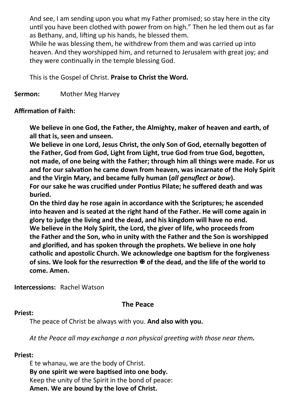And see, I am sending upon you what my Father promised; so stay here in the city until you have been clothed with power from on high." Then he led them out as far as Bethany, and, lifting up his hands, he blessed them.

While he was blessing them, he withdrew from them and was carried up into heaven. And they worshipped him, and returned to Jerusalem with great joy; and they were continually in the temple blessing God.

This is the Gospel of Christ. **Praise to Christ the Word.**

**Sermon:** Mother Meg Harvey

# **Affirmation of Faith:**

**We believe in one God, the Father, the Almighty, maker of heaven and earth, of all that is, seen and unseen.**

**We believe in one Lord, Jesus Christ, the only Son of God, eternally begotten of the Father, God from God, Light from Light, true God from true God, begotten, not made, of one being with the Father; through him all things were made. For us and for our salvation he came down from heaven, was incarnate of the Holy Spirit and the Virgin Mary, and became fully human (***all genuflect or bow***). For our sake he was crucified under Pontius Pilate; he suffered death and was buried.** 

**On the third day he rose again in accordance with the Scriptures; he ascended into heaven and is seated at the right hand of the Father. He will come again in glory to judge the living and the dead, and his kingdom will have no end. We believe in the Holy Spirit, the Lord, the giver of life, who proceeds from the Father and the Son, who in unity with the Father and the Son is worshipped and glorified, and has spoken through the prophets. We believe in one holy catholic and apostolic Church. We acknowledge one baptism for the forgiveness of sins. We look for the resurrection <sup>\$2</sup> of the dead, and the life of the world to come. Amen.**

**Intercessions:** Rachel Watson

# **The Peace**

# **Priest:**

The peace of Christ be always with you. **And also with you.**

*At the Peace all may exchange a non physical greeting with those near them.*

# **Priest:**

E te whanau, we are the body of Christ. **By one spirit we were baptised into one body.** Keep the unity of the Spirit in the bond of peace: **Amen. We are bound by the love of Christ.**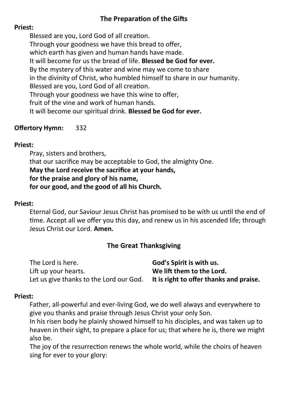# **The Preparation of the Gifts**

#### **Priest:**

Blessed are you, Lord God of all creation. Through your goodness we have this bread to offer, which earth has given and human hands have made. It will become for us the bread of life. **Blessed be God for ever.** By the mystery of this water and wine may we come to share in the divinity of Christ, who humbled himself to share in our humanity. Blessed are you, Lord God of all creation. Through your goodness we have this wine to offer, fruit of the vine and work of human hands. It will become our spiritual drink. **Blessed be God for ever.**

# **Offertory Hymn:** 332

# **Priest:**

Pray, sisters and brothers, that our sacrifice may be acceptable to God, the almighty One. **May the Lord receive the sacrifice at your hands, for the praise and glory of his name, for our good, and the good of all his Church.**

#### **Priest:**

Eternal God, our Saviour Jesus Christ has promised to be with us until the end of time. Accept all we offer you this day, and renew us in his ascended life; through Jesus Christ our Lord. **Amen.**

# **The Great Thanksgiving**

| The Lord is here.                       | God's Spirit is with us.                |
|-----------------------------------------|-----------------------------------------|
| Lift up your hearts.                    | We lift them to the Lord.               |
| Let us give thanks to the Lord our God. | It is right to offer thanks and praise. |

#### **Priest:**

Father, all-powerful and ever-living God, we do well always and everywhere to give you thanks and praise through Jesus Christ your only Son.

In his risen body he plainly showed himself to his disciples, and was taken up to heaven in their sight, to prepare a place for us; that where he is, there we might also be.

The joy of the resurrection renews the whole world, while the choirs of heaven sing for ever to your glory: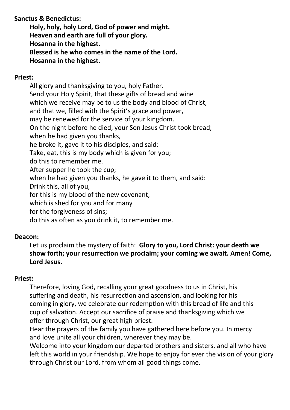# **Sanctus & Benedictus:**

**Holy, holy, holy Lord, God of power and might. Heaven and earth are full of your glory. Hosanna in the highest. Blessed is he who comes in the name of the Lord. Hosanna in the highest.**

# **Priest:**

All glory and thanksgiving to you, holy Father. Send your Holy Spirit, that these gifts of bread and wine which we receive may be to us the body and blood of Christ, and that we, filled with the Spirit's grace and power, may be renewed for the service of your kingdom. On the night before he died, your Son Jesus Christ took bread; when he had given you thanks, he broke it, gave it to his disciples, and said: Take, eat, this is my body which is given for you; do this to remember me. After supper he took the cup; when he had given you thanks, he gave it to them, and said: Drink this, all of you, for this is my blood of the new covenant, which is shed for you and for many for the forgiveness of sins; do this as often as you drink it, to remember me.

# **Deacon:**

Let us proclaim the mystery of faith: **Glory to you, Lord Christ: your death we show forth; your resurrection we proclaim; your coming we await. Amen! Come, Lord Jesus.**

# **Priest:**

Therefore, loving God, recalling your great goodness to us in Christ, his suffering and death, his resurrection and ascension, and looking for his coming in glory, we celebrate our redemption with this bread of life and this cup of salvation. Accept our sacrifice of praise and thanksgiving which we offer through Christ, our great high priest.

Hear the prayers of the family you have gathered here before you. In mercy and love unite all your children, wherever they may be.

Welcome into your kingdom our departed brothers and sisters, and all who have left this world in your friendship. We hope to enjoy for ever the vision of your glory through Christ our Lord, from whom all good things come.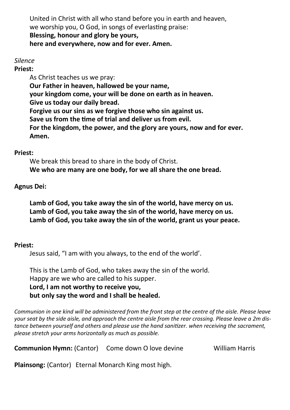United in Christ with all who stand before you in earth and heaven, we worship you, O God, in songs of everlasting praise: **Blessing, honour and glory be yours, here and everywhere, now and for ever. Amen.**

#### *Silence*

**Priest:** 

As Christ teaches us we pray: **Our Father in heaven, hallowed be your name, your kingdom come, your will be done on earth as in heaven. Give us today our daily bread. Forgive us our sins as we forgive those who sin against us. Save us from the time of trial and deliver us from evil. For the kingdom, the power, and the glory are yours, now and for ever. Amen.**

# **Priest:**

We break this bread to share in the body of Christ. **We who are many are one body, for we all share the one bread.**

# **Agnus Dei:**

**Lamb of God, you take away the sin of the world, have mercy on us. Lamb of God, you take away the sin of the world, have mercy on us. Lamb of God, you take away the sin of the world, grant us your peace.**

# **Priest:**

Jesus said, "I am with you always, to the end of the world'.

This is the Lamb of God, who takes away the sin of the world. Happy are we who are called to his supper. **Lord, I am not worthy to receive you, but only say the word and I shall be healed.**

*Communion in one kind will be administered from the front step at the centre of the aisle. Please leave your seat by the side aisle, and approach the centre aisle from the rear crossing. Please leave a 2m distance between yourself and others and please use the hand sanitizer. when receiving the sacrament, please stretch your arms horizontally as much as possible.*

**Communion Hymn:** (Cantor) Come down O love devine William Harris

**Plainsong:** (Cantor) Eternal Monarch King most high.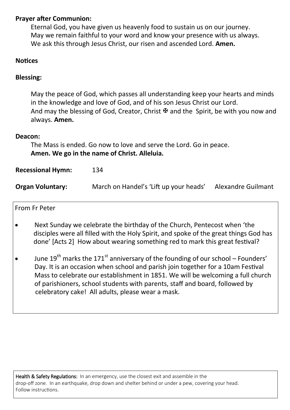# **Prayer after Communion:**

Eternal God, you have given us heavenly food to sustain us on our journey. May we remain faithful to your word and know your presence with us always. We ask this through Jesus Christ, our risen and ascended Lord. **Amen.**

# **Notices**

# **Blessing:**

May the peace of God, which passes all understanding keep your hearts and minds in the knowledge and love of God, and of his son Jesus Christ our Lord. And may the blessing of God, Creator, Christ  $\mathbf{\Psi}$  and the Spirit, be with you now and always. **Amen.**

#### **Deacon:**

The Mass is ended. Go now to love and serve the Lord. Go in peace. **Amen. We go in the name of Christ. Alleluia.**

| <b>Recessional Hymn:</b><br>134 |                                        |                    |
|---------------------------------|----------------------------------------|--------------------|
| <b>Organ Voluntary:</b>         | March on Handel's 'Lift up your heads' | Alexandre Guilmant |

From Fr Peter

- Next Sunday we celebrate the birthday of the Church, Pentecost when 'the disciples were all filled with the Holy Spirit, and spoke of the great things God has done' [Acts 2] How about wearing something red to mark this great festival?
- June  $19<sup>th</sup>$  marks the 171<sup>st</sup> anniversary of the founding of our school Founders' Day. It is an occasion when school and parish join together for a 10am Festival Mass to celebrate our establishment in 1851. We will be welcoming a full church of parishioners, school students with parents, staff and board, followed by celebratory cake! All adults, please wear a mask.

Health & Safety Regulations: In an emergency, use the closest exit and assemble in the drop-off zone. In an earthquake, drop down and shelter behind or under a pew, covering your head. Follow instructions.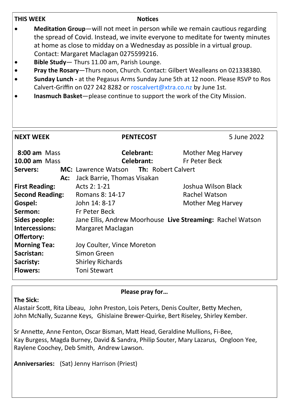| $\bullet$<br>$\bullet$<br>$\bullet$<br>$\bullet$ | Meditation Group-will not meet in person while we remain cautious regarding<br>the spread of Covid. Instead, we invite everyone to meditate for twenty minutes<br>at home as close to midday on a Wednesday as possible in a virtual group.<br>Contact: Margaret Maclagan 0275599216.<br>Bible Study-Thurs 11.00 am, Parish Lounge.<br>Pray the Rosary-Thurs noon, Church. Contact: Gilbert Wealleans on 021338380.<br>Sunday Lunch - at the Pegasus Arms Sunday June 5th at 12 noon. Please RSVP to Ros<br>Calvert-Griffin on 027 242 8282 or roscalvert@xtra.co.nz by June 1st.<br>Inasmuch Basket-please continue to support the work of the City Mission. |                             |                     |  |
|--------------------------------------------------|---------------------------------------------------------------------------------------------------------------------------------------------------------------------------------------------------------------------------------------------------------------------------------------------------------------------------------------------------------------------------------------------------------------------------------------------------------------------------------------------------------------------------------------------------------------------------------------------------------------------------------------------------------------|-----------------------------|---------------------|--|
| <b>NEXT WEEK</b>                                 |                                                                                                                                                                                                                                                                                                                                                                                                                                                                                                                                                                                                                                                               | <b>PENTECOST</b>            | 5 June 2022         |  |
|                                                  | 8:00 am Mass                                                                                                                                                                                                                                                                                                                                                                                                                                                                                                                                                                                                                                                  | Celebrant:                  | Mother Meg Harvey   |  |
|                                                  | <b>10.00 am Mass</b>                                                                                                                                                                                                                                                                                                                                                                                                                                                                                                                                                                                                                                          | Celebrant:                  | Fr Peter Beck       |  |
| Servers:                                         |                                                                                                                                                                                                                                                                                                                                                                                                                                                                                                                                                                                                                                                               | <b>MC:</b> Lawrence Watson  | Th: Robert Calvert  |  |
|                                                  | Ac:                                                                                                                                                                                                                                                                                                                                                                                                                                                                                                                                                                                                                                                           | Jack Barrie, Thomas Visakan |                     |  |
|                                                  | <b>First Reading:</b>                                                                                                                                                                                                                                                                                                                                                                                                                                                                                                                                                                                                                                         | Acts 2: 1-21                | Joshua Wilson Black |  |
|                                                  | <b>Second Reading:</b>                                                                                                                                                                                                                                                                                                                                                                                                                                                                                                                                                                                                                                        | Romans 8: 14-17             | Rachel Watson       |  |
| Gospel:                                          |                                                                                                                                                                                                                                                                                                                                                                                                                                                                                                                                                                                                                                                               | John 14: 8-17               | Mother Meg Harvey   |  |
| Sermon:                                          | Fr Peter Beck                                                                                                                                                                                                                                                                                                                                                                                                                                                                                                                                                                                                                                                 |                             |                     |  |
|                                                  | Jane Ellis, Andrew Moorhouse Live Streaming: Rachel Watson<br>Sides people:                                                                                                                                                                                                                                                                                                                                                                                                                                                                                                                                                                                   |                             |                     |  |
|                                                  | Intercessions:<br>Margaret Maclagan                                                                                                                                                                                                                                                                                                                                                                                                                                                                                                                                                                                                                           |                             |                     |  |
| Offertory:                                       |                                                                                                                                                                                                                                                                                                                                                                                                                                                                                                                                                                                                                                                               |                             |                     |  |
|                                                  | <b>Morning Tea:</b><br>Joy Coulter, Vince Moreton                                                                                                                                                                                                                                                                                                                                                                                                                                                                                                                                                                                                             |                             |                     |  |
| Sacristan:                                       |                                                                                                                                                                                                                                                                                                                                                                                                                                                                                                                                                                                                                                                               | Simon Green                 |                     |  |
| Sacristy:                                        |                                                                                                                                                                                                                                                                                                                                                                                                                                                                                                                                                                                                                                                               | <b>Shirley Richards</b>     |                     |  |
| <b>Flowers:</b>                                  |                                                                                                                                                                                                                                                                                                                                                                                                                                                                                                                                                                                                                                                               | <b>Toni Stewart</b>         |                     |  |
|                                                  |                                                                                                                                                                                                                                                                                                                                                                                                                                                                                                                                                                                                                                                               |                             |                     |  |

#### **The Sick:**

**Please pray for…**

Alastair Scott, Rita Libeau, John Preston, Lois Peters, Denis Coulter, Betty Mechen, John McNally, Suzanne Keys, Ghislaine Brewer-Quirke, Bert Riseley, Shirley Kember.

Sr Annette, Anne Fenton, Oscar Bisman, Matt Head, Geraldine Mullions, Fi-Bee, Kay Burgess, Magda Burney, David & Sandra, Philip Souter, Mary Lazarus, Ongloon Yee, Raylene Coochey, Deb Smith, Andrew Lawson.

**Anniversaries:** (Sat) Jenny Harrison (Priest)

**THIS WEEK Notices**